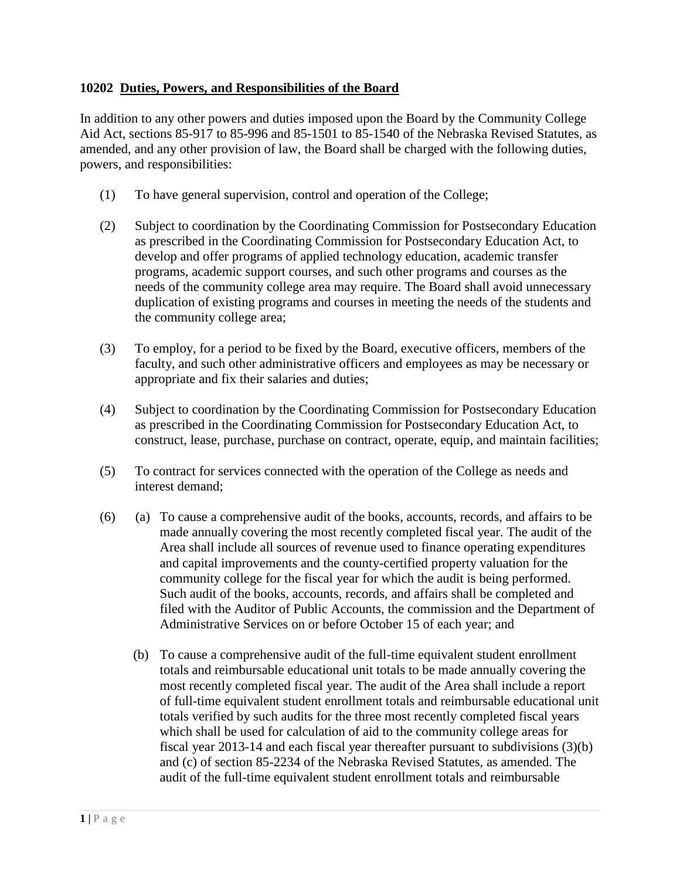## **10202 Duties, Powers, and Responsibilities of the Board**

In addition to any other powers and duties imposed upon the Board by the Community College Aid Act, sections 85-917 to 85-996 and 85-1501 to 85-1540 of the Nebraska Revised Statutes, as amended, and any other provision of law, the Board shall be charged with the following duties, powers, and responsibilities:

- (1) To have general supervision, control and operation of the College;
- (2) Subject to coordination by the Coordinating Commission for Postsecondary Education as prescribed in the Coordinating Commission for Postsecondary Education Act, to develop and offer programs of applied technology education, academic transfer programs, academic support courses, and such other programs and courses as the needs of the community college area may require. The Board shall avoid unnecessary duplication of existing programs and courses in meeting the needs of the students and the community college area;
- (3) To employ, for a period to be fixed by the Board, executive officers, members of the faculty, and such other administrative officers and employees as may be necessary or appropriate and fix their salaries and duties;
- (4) Subject to coordination by the Coordinating Commission for Postsecondary Education as prescribed in the Coordinating Commission for Postsecondary Education Act, to construct, lease, purchase, purchase on contract, operate, equip, and maintain facilities;
- (5) To contract for services connected with the operation of the College as needs and interest demand;
- (6) (a) To cause a comprehensive audit of the books, accounts, records, and affairs to be made annually covering the most recently completed fiscal year. The audit of the Area shall include all sources of revenue used to finance operating expenditures and capital improvements and the county-certified property valuation for the community college for the fiscal year for which the audit is being performed. Such audit of the books, accounts, records, and affairs shall be completed and filed with the Auditor of Public Accounts, the commission and the Department of Administrative Services on or before October 15 of each year; and
	- (b) To cause a comprehensive audit of the full-time equivalent student enrollment totals and reimbursable educational unit totals to be made annually covering the most recently completed fiscal year. The audit of the Area shall include a report of full-time equivalent student enrollment totals and reimbursable educational unit totals verified by such audits for the three most recently completed fiscal years which shall be used for calculation of aid to the community college areas for fiscal year 2013-14 and each fiscal year thereafter pursuant to [subdivisions \(3\)\(b\)](http://web2.westlaw.com/find/default.wl?mt=Nebraska&db=1000257&rs=WLW12.07&docname=NESTS85-2234&rp=%2ffind%2fdefault.wl&findtype=L&ordoc=19439104&tc=-1&vr=2.0&fn=_top&sv=Split&tf=-1&referencepositiontype=T&pbc=902010A7&referenceposition=SP%3b948800007ac76&utid=1)  [and \(c\) of section 85-2234](http://web2.westlaw.com/find/default.wl?mt=Nebraska&db=1000257&rs=WLW12.07&docname=NESTS85-2234&rp=%2ffind%2fdefault.wl&findtype=L&ordoc=19439104&tc=-1&vr=2.0&fn=_top&sv=Split&tf=-1&referencepositiontype=T&pbc=902010A7&referenceposition=SP%3b948800007ac76&utid=1) of the Nebraska Revised Statutes, as amended. The audit of the full-time equivalent student enrollment totals and reimbursable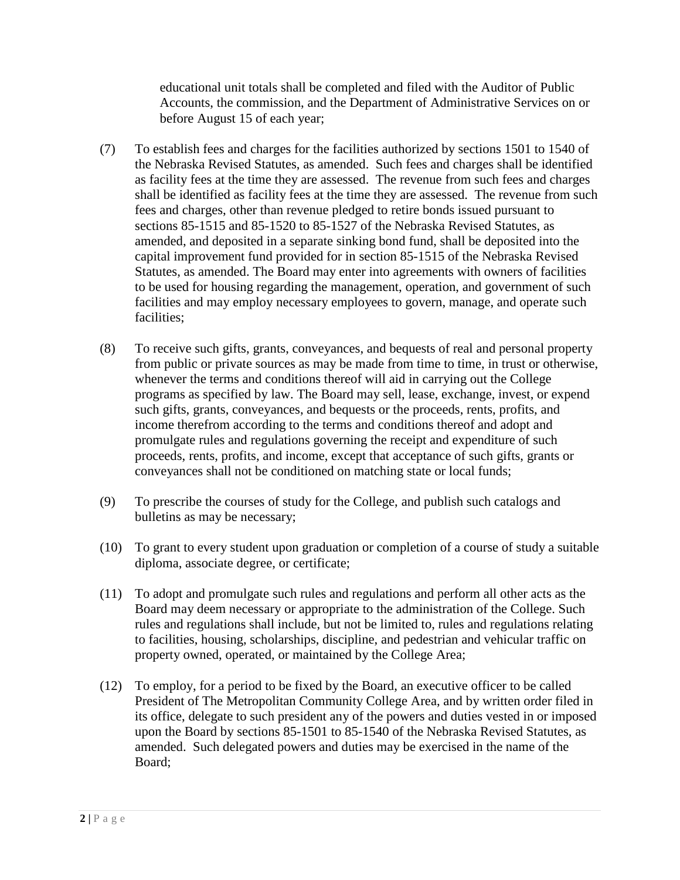educational unit totals shall be completed and filed with the Auditor of Public Accounts, the commission, and the Department of Administrative Services on or before August 15 of each year;

- (7) To establish fees and charges for the facilities authorized by sections 1501 to 1540 of the Nebraska Revised Statutes, as amended. Such fees and charges shall be identified as facility fees at the time they are assessed. The revenue from such fees and charges shall be identified as facility fees at the time they are assessed. The revenue from such fees and charges, other than revenue pledged to retire bonds issued pursuant to sections 85-1515 and 85-1520 to 85-1527 of the Nebraska Revised Statutes, as amended, and deposited in a separate sinking bond fund, shall be deposited into the capital improvement fund provided for in section 85-1515 of the Nebraska Revised Statutes, as amended. The Board may enter into agreements with owners of facilities to be used for housing regarding the management, operation, and government of such facilities and may employ necessary employees to govern, manage, and operate such facilities;
- (8) To receive such gifts, grants, conveyances, and bequests of real and personal property from public or private sources as may be made from time to time, in trust or otherwise, whenever the terms and conditions thereof will aid in carrying out the College programs as specified by law. The Board may sell, lease, exchange, invest, or expend such gifts, grants, conveyances, and bequests or the proceeds, rents, profits, and income therefrom according to the terms and conditions thereof and adopt and promulgate rules and regulations governing the receipt and expenditure of such proceeds, rents, profits, and income, except that acceptance of such gifts, grants or conveyances shall not be conditioned on matching state or local funds;
- (9) To prescribe the courses of study for the College, and publish such catalogs and bulletins as may be necessary;
- (10) To grant to every student upon graduation or completion of a course of study a suitable diploma, associate degree, or certificate;
- (11) To adopt and promulgate such rules and regulations and perform all other acts as the Board may deem necessary or appropriate to the administration of the College. Such rules and regulations shall include, but not be limited to, rules and regulations relating to facilities, housing, scholarships, discipline, and pedestrian and vehicular traffic on property owned, operated, or maintained by the College Area;
- (12) To employ, for a period to be fixed by the Board, an executive officer to be called President of The Metropolitan Community College Area, and by written order filed in its office, delegate to such president any of the powers and duties vested in or imposed upon the Board by sections 85-1501 to 85-1540 of the Nebraska Revised Statutes, as amended. Such delegated powers and duties may be exercised in the name of the Board;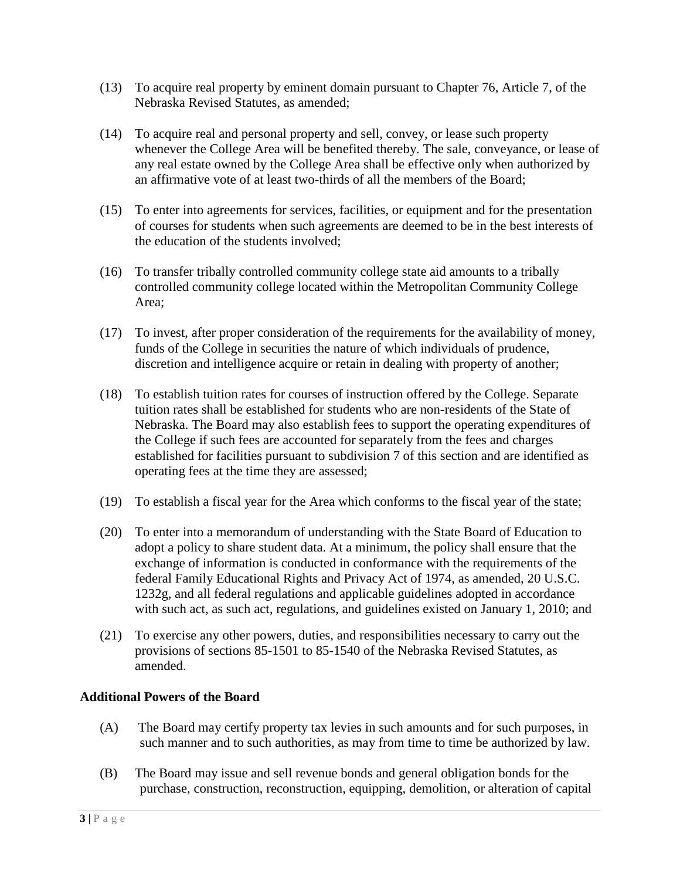- (13) To acquire real property by eminent domain pursuant to Chapter 76, Article 7, of the Nebraska Revised Statutes, as amended;
- (14) To acquire real and personal property and sell, convey, or lease such property whenever the College Area will be benefited thereby. The sale, conveyance, or lease of any real estate owned by the College Area shall be effective only when authorized by an affirmative vote of at least two-thirds of all the members of the Board;
- (15) To enter into agreements for services, facilities, or equipment and for the presentation of courses for students when such agreements are deemed to be in the best interests of the education of the students involved;
- (16) To transfer tribally controlled community college state aid amounts to a tribally controlled community college located within the Metropolitan Community College Area;
- (17) To invest, after proper consideration of the requirements for the availability of money, funds of the College in securities the nature of which individuals of prudence, discretion and intelligence acquire or retain in dealing with property of another;
- (18) To establish tuition rates for courses of instruction offered by the College. Separate tuition rates shall be established for students who are non-residents of the State of Nebraska. The Board may also establish fees to support the operating expenditures of the College if such fees are accounted for separately from the fees and charges established for facilities pursuant to subdivision 7 of this section and are identified as operating fees at the time they are assessed;
- (19) To establish a fiscal year for the Area which conforms to the fiscal year of the state;
- (20) To enter into a memorandum of understanding with the State Board of Education to adopt a policy to share student data. At a minimum, the policy shall ensure that the exchange of information is conducted in conformance with the requirements of the federal Family Educational Rights and Privacy Act of 1974, as amended, [20 U.S.C.](http://web2.westlaw.com/find/default.wl?mt=Nebraska&db=1000546&rs=WLW12.07&docname=20USCAS1232G&rp=%2ffind%2fdefault.wl&findtype=L&ordoc=19439104&tc=-1&vr=2.0&fn=_top&sv=Split&tf=-1&pbc=902010A7&utid=1)  [1232g,](http://web2.westlaw.com/find/default.wl?mt=Nebraska&db=1000546&rs=WLW12.07&docname=20USCAS1232G&rp=%2ffind%2fdefault.wl&findtype=L&ordoc=19439104&tc=-1&vr=2.0&fn=_top&sv=Split&tf=-1&pbc=902010A7&utid=1) and all federal regulations and applicable guidelines adopted in accordance with such act, as such act, regulations, and guidelines existed on January 1, 2010; and
- (21) To exercise any other powers, duties, and responsibilities necessary to carry out the provisions of sections 85-1501 to 85-1540 of the Nebraska Revised Statutes, as amended.

## **Additional Powers of the Board**

- (A) The Board may certify property tax levies in such amounts and for such purposes, in such manner and to such authorities, as may from time to time be authorized by law.
- (B) The Board may issue and sell revenue bonds and general obligation bonds for the purchase, construction, reconstruction, equipping, demolition, or alteration of capital